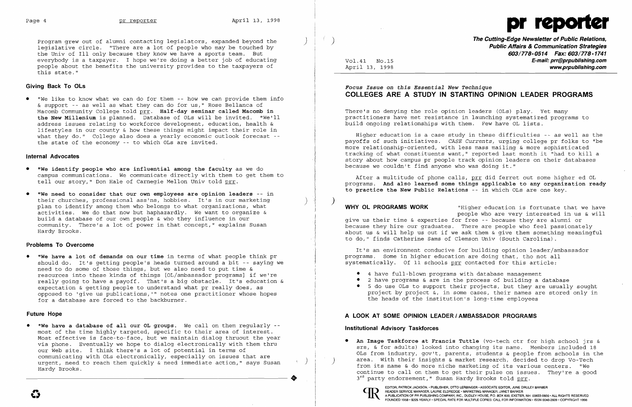

Program grew out of alumni contacting legislators, expanded beyond the ) legislative circle. "There are a lot of people who may be touched by the Univ of III only because they know we have a sports team. But everybody is a taxpayer. I hope we're doing a better job of educating people about the benefits the university provides to the taxpayers of this state."

## **Giving Back To OLs**

• "We like to know what we can do for them -- how we can provide them info & support -- as well as what they can do for us," Rose Bellanca of Macomb Community College told prr. **Half-day seminar called Macomb in the New Millenium** is planned. Database of OLs will be invited. "We'll address issues relating to workforce development, education, health & lifestyles in our county & how these things might impact their role in what they do." College also does a yearly economic outlook forecast -the state of the economy -- to which OLs are invited.

## **Internal Advocates**

- **• "We identify people who are influential among the faculty** as we do campus communications. We communicate directly with them to get them to tell our story," Don Hale of Carnegie Mellon Univ told prr.
- **• "We need to consider that our own employees are opinion leaders** -- in their churches, professional ass'ns, hobbies. It's in our marketing plan to identify among them who belongs to what organizations, what activities. We do that now but haphazardly. We want to organize & build a database of our own people & who they influence in our community. There's a lot of power in that concept," explains Susan Hardy Brooks.

### **Problems To Overcome**

**• "We have a lot of demands on our time** in terms of what people think pr should do. It's getting people's heads turned around a bit -- saying we need to do some of those things, but we also need to put time & resources into these kinds of things [OL/ambassador programs] if we're really going to have a payoff. That's a big obstacle. It's education & expectation & getting people to understand what pr really does, as opposed to 'give us publications, '" notes one practitioner whose hopes for a database are forced to the backburner.

### **Future Hope**

**• "We have a database of all our OL groups.** We calIon them regularly most of the time highly targeted, specific to their area of interest. Most effective is face-to-face, but we maintain dialog thruout the year via phone. Eventually we hope to dialog electronically with them thru our Web site. I think there's a lot of potential in terms of communicating with OLs electronically, especially on issues that are urgent, need to reach them quickly & need immediate action," says Susan Hardy Brooks.

..

)

 $\big)$ 

 $\mathcal{Y}$ 

EDITOR, PATRICK JACKSON, • PUBLISHER, OTTO LERBINGER • ASSOCIATE EDITOR, JUNE DRULEY BARBER<br>READER SERVICE MANAGER, LAURIE ELDREDGE • MARKETING MANAGER, JANET BARKER<br>ALLE DE SERVICE MANAGER, LAURIE ELDREDGE • MARKETING MAN

 $\mathbf{O}$ 

)

Æ.

Vol.41 NO.15 April 13, 1998 **The Cutting-Edge Newsletter of Public Relations, Public Affairs & Communication Strategies 603/778-0514 Fax: 603/778-1741 E-mail: prr@prpublishing.com www.prpublishing.com** 

# **Focus** *Issue* **on** *this Essential New Technique*  **COLLEGES ARE A STUDY IN STARTING OPINION LEADER PROGRAMS**

There's no denying the role opinion leaders (OLs) play. Yet many practitioners have met resistance in launching systematized programs to build ongoing relationships with them. Few have OL lists.

Higher education is a case study in these difficulties -- as well as the payoffs of such initiatives. *CASE Currents,* urging college pr folks to "be more relationship-oriented, with less mass mailing & more sophisticated tracking of what constituents want," reported last month it "had to kill a story about how campus pr people track opinion leaders on their databases because we couldn't find anyone who was doing it."

After a multitude of phone calls, prr did ferret out some higher ed OL programs. **And also learned some things applicable to any organization ready to practice the New Public Relations** -- in which OLs are one key.

**WHY OL PROGRAMS WORK** "Higher education is fortunate that we have people who are very interested in us & will give us their time & expertise for free -- because they are alumni or because they hire our graduates. There are people who feel passionately about us & will help us out if we ask them & give them something meaningful to do," finds Catherine Sams of Clemson Univ (South Carolina).

It's an environment conducive for building opinion leader/ambassador programs. Some in higher education are doing that, tho not all systematically. Of 11 schools prr contacted for this article:

- • 4 have full-blown programs with database management
- • 2 have programs & are in the process of building a database
- the heads of the institution's long-time employees

• 5 do use OLs to support their projects, but they are usually sought project by project &, in some cases, their names are stored only in

# **A LOOK AT SOME OPINION LEADER I AMBASSADOR PROGRAMS**

## **Institutional Advisory Taskforces**

3<sup>rd</sup> party endorsement," Susan Hardy Brooks told prr.

**GD** 

**• An Image Taskforce at Francis Tuttle** (vo-tech ctr for high school jrs & srs, & for adults) looked into changing its name. Members included 18 OLs from industry, gov't, parents, students & people from schools in the area. With their insights & market research, decided to drop Vo-Tech from its name & do more niche marketing of its various centers. "We continue to calIon them to get their pulse on issues. They're a good